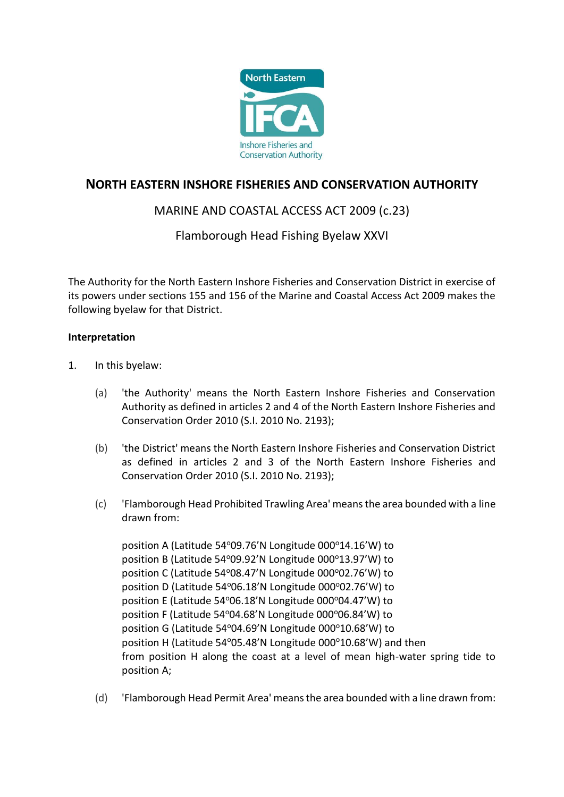

# **NORTH EASTERN INSHORE FISHERIES AND CONSERVATION AUTHORITY**

## MARINE AND COASTAL ACCESS ACT 2009 (c.23)

## Flamborough Head Fishing Byelaw XXVI

The Authority for the North Eastern Inshore Fisheries and Conservation District in exercise of its powers under sections 155 and 156 of the Marine and Coastal Access Act 2009 makes the following byelaw for that District.

### **Interpretation**

- 1. In this byelaw:
	- (a) 'the Authority' means the North Eastern Inshore Fisheries and Conservation Authority as defined in articles 2 and 4 of the North Eastern Inshore Fisheries and Conservation Order 2010 (S.I. 2010 No. 2193);
	- (b) 'the District' means the North Eastern Inshore Fisheries and Conservation District as defined in articles 2 and 3 of the North Eastern Inshore Fisheries and Conservation Order 2010 (S.I. 2010 No. 2193);
	- (c) 'Flamborough Head Prohibited Trawling Area' means the area bounded with a line drawn from:

position A (Latitude 54°09.76'N Longitude 000°14.16'W) to position B (Latitude 54°09.92'N Longitude 000°13.97'W) to position C (Latitude  $54^{\circ}08.47$ 'N Longitude  $000^{\circ}02.76$ 'W) to position D (Latitude 54°06.18'N Longitude 000°02.76'W) to position E (Latitude 54°06.18'N Longitude 000°04.47'W) to position F (Latitude 54°04.68'N Longitude 000°06.84'W) to position G (Latitude 54°04.69'N Longitude 000°10.68'W) to position H (Latitude 54 $^{o}$ 05.48'N Longitude 000 $^{o}$ 10.68'W) and then from position H along the coast at a level of mean high-water spring tide to position A;

(d) 'Flamborough Head Permit Area' means the area bounded with a line drawn from: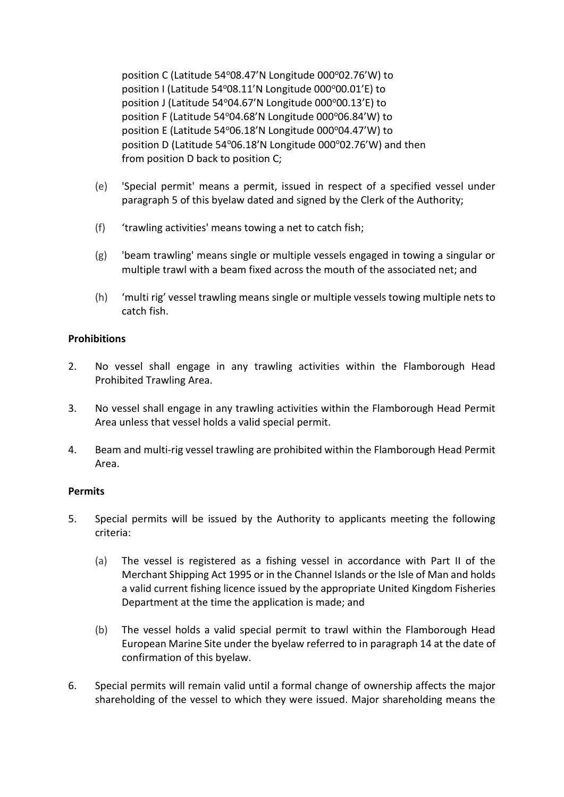position C (Latitude 54°08.47'N Longitude 000°02.76'W) to position I (Latitude 54°08.11'N Longitude 000°00.01'E) to position J (Latitude 54°04.67'N Longitude 000°00.13'E) to position F (Latitude 54°04.68'N Longitude 000°06.84'W) to position E (Latitude 54°06.18'N Longitude 000°04.47'W) to position D (Latitude 54°06.18'N Longitude 000°02.76'W) and then from position D back to position C;

- (e) 'Special permit' means a permit, issued in respect of a specified vessel under paragraph 5 of this byelaw dated and signed by the Clerk of the Authority;
- (f) 'trawling activities' means towing a net to catch fish;
- (g) 'beam trawling' means single or multiple vessels engaged in towing a singular or multiple trawl with a beam fixed across the mouth of the associated net; and
- (h) 'multi rig' vessel trawling means single or multiple vessels towing multiple nets to catch fish.

### **Prohibitions**

- 2. No vessel shall engage in any trawling activities within the Flamborough Head Prohibited Trawling Area.
- 3. No vessel shall engage in any trawling activities within the Flamborough Head Permit Area unless that vessel holds a valid special permit.
- 4. Beam and multi-rig vessel trawling are prohibited within the Flamborough Head Permit Area.

#### **Permits**

- 5. Special permits will be issued by the Authority to applicants meeting the following criteria:
	- (a) The vessel is registered as a fishing vessel in accordance with Part II of the Merchant Shipping Act 1995 or in the Channel Islands or the Isle of Man and holds a valid current fishing licence issued by the appropriate United Kingdom Fisheries Department at the time the application is made; and
	- (b) The vessel holds a valid special permit to trawl within the Flamborough Head European Marine Site under the byelaw referred to in paragraph 14 at the date of confirmation of this byelaw.
- 6. Special permits will remain valid until a formal change of ownership affects the major shareholding of the vessel to which they were issued. Major shareholding means the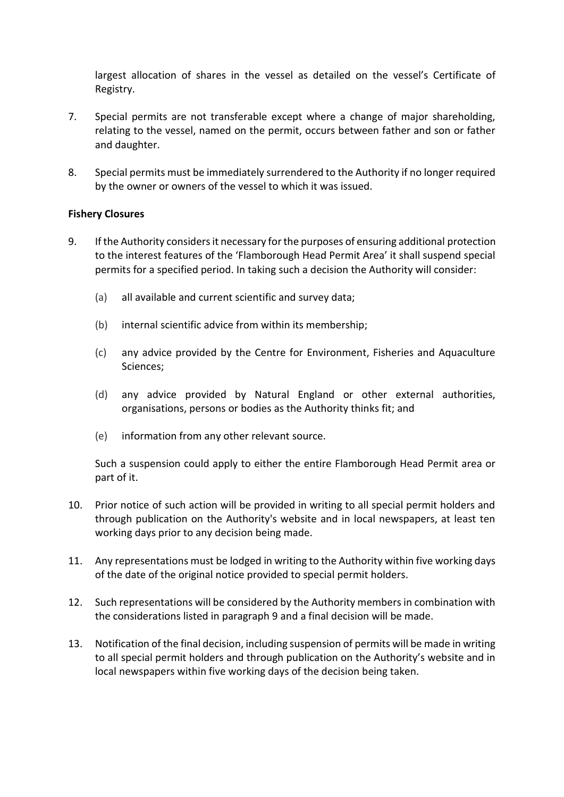largest allocation of shares in the vessel as detailed on the vessel's Certificate of Registry.

- 7. Special permits are not transferable except where a change of major shareholding, relating to the vessel, named on the permit, occurs between father and son or father and daughter.
- 8. Special permits must be immediately surrendered to the Authority if no longer required by the owner or owners of the vessel to which it was issued.

### **Fishery Closures**

- 9. If the Authority considers it necessary for the purposes of ensuring additional protection to the interest features of the 'Flamborough Head Permit Area' it shall suspend special permits for a specified period. In taking such a decision the Authority will consider:
	- (a) all available and current scientific and survey data;
	- (b) internal scientific advice from within its membership;
	- (c) any advice provided by the Centre for Environment, Fisheries and Aquaculture Sciences;
	- (d) any advice provided by Natural England or other external authorities, organisations, persons or bodies as the Authority thinks fit; and
	- (e) information from any other relevant source.

Such a suspension could apply to either the entire Flamborough Head Permit area or part of it.

- 10. Prior notice of such action will be provided in writing to all special permit holders and through publication on the Authority's website and in local newspapers, at least ten working days prior to any decision being made.
- 11. Any representations must be lodged in writing to the Authority within five working days of the date of the original notice provided to special permit holders.
- 12. Such representations will be considered by the Authority members in combination with the considerations listed in paragraph 9 and a final decision will be made.
- 13. Notification of the final decision, including suspension of permits will be made in writing to all special permit holders and through publication on the Authority's website and in local newspapers within five working days of the decision being taken.